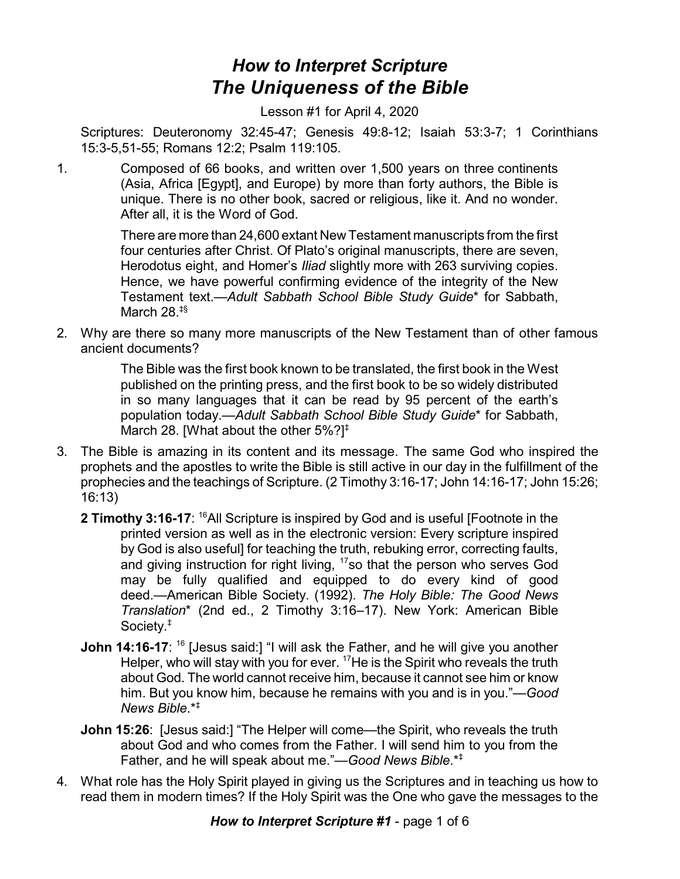## *How to Interpret Scripture The Uniqueness of the Bible*

Lesson #1 for April 4, 2020

Scriptures: Deuteronomy 32:45-47; Genesis 49:8-12; Isaiah 53:3-7; 1 Corinthians 15:3-5,51-55; Romans 12:2; Psalm 119:105.

1. Composed of 66 books, and written over 1,500 years on three continents (Asia, Africa [Egypt], and Europe) by more than forty authors, the Bible is unique. There is no other book, sacred or religious, like it. And no wonder. After all, it is the Word of God.

> There are more than 24,600 extant New Testament manuscripts from the first four centuries after Christ. Of Plato's original manuscripts, there are seven, Herodotus eight, and Homer's *Iliad* slightly more with 263 surviving copies. Hence, we have powerful confirming evidence of the integrity of the New Testament text.—*Adult Sabbath School Bible Study Guide*\* for Sabbath, March 28. ‡§

2. Why are there so many more manuscripts of the New Testament than of other famous ancient documents?

> The Bible was the first book known to be translated, the first book in the West published on the printing press, and the first book to be so widely distributed in so many languages that it can be read by 95 percent of the earth's population today.—*Adult Sabbath School Bible Study Guide*\* for Sabbath, March 28. [What about the other 5%?]<sup>‡</sup>

- 3. The Bible is amazing in its content and its message. The same God who inspired the prophets and the apostles to write the Bible is still active in our day in the fulfillment of the prophecies and the teachings of Scripture. (2 Timothy 3:16-17; John 14:16-17; John 15:26; 16:13)
	- **2 Timothy 3:16-17**: <sup>16</sup>All Scripture is inspired by God and is useful [Footnote in the printed version as well as in the electronic version: Every scripture inspired by God is also useful] for teaching the truth, rebuking error, correcting faults, and giving instruction for right living, <sup>17</sup>so that the person who serves God may be fully qualified and equipped to do every kind of good deed.—American Bible Society. (1992). *The Holy Bible: The Good News Translation*\* (2nd ed., 2 Timothy 3:16–17). New York: American Bible Society. ‡
	- **John 14:16-17**: <sup>16</sup> [Jesus said:] "I will ask the Father, and he will give you another Helper, who will stay with you for ever. <sup>17</sup>He is the Spirit who reveals the truth about God. The world cannot receive him, because it cannot see him or know him. But you know him, because he remains with you and is in you."—*Good News Bible*.\*‡
	- **John 15:26**: [Jesus said:] "The Helper will come—the Spirit, who reveals the truth about God and who comes from the Father. I will send him to you from the Father, and he will speak about me."—*Good News Bible*.\*‡
- 4. What role has the Holy Spirit played in giving us the Scriptures and in teaching us how to read them in modern times? If the Holy Spirit was the One who gave the messages to the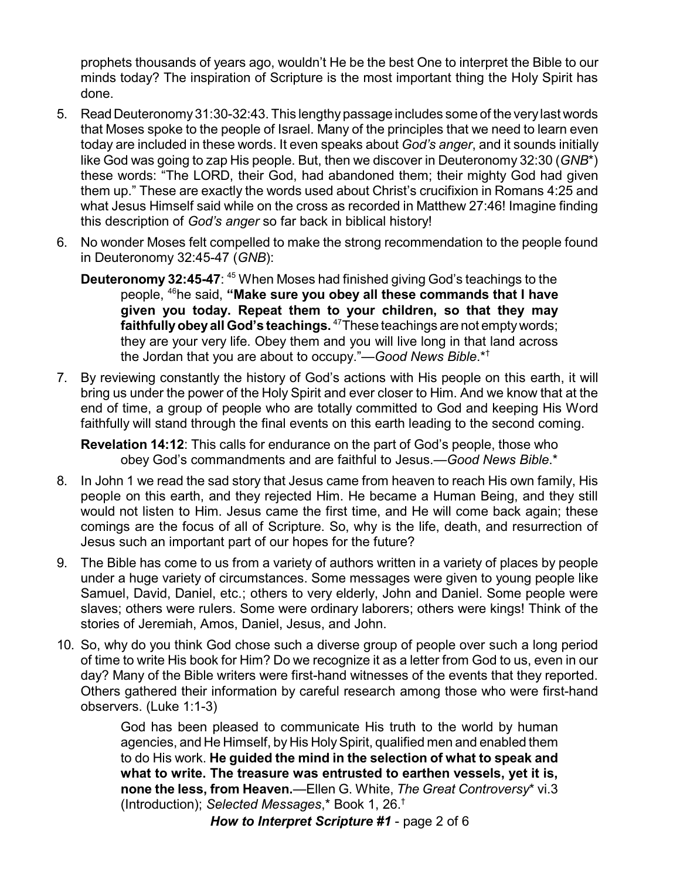prophets thousands of years ago, wouldn't He be the best One to interpret the Bible to our minds today? The inspiration of Scripture is the most important thing the Holy Spirit has done.

- 5. ReadDeuteronomy31:30-32:43. This lengthypassage includes some of the verylast words that Moses spoke to the people of Israel. Many of the principles that we need to learn even today are included in these words. It even speaks about *God's anger*, and it sounds initially like God was going to zap His people. But, then we discover in Deuteronomy 32:30 (*GNB*\*) these words: "The LORD, their God, had abandoned them; their mighty God had given them up." These are exactly the words used about Christ's crucifixion in Romans 4:25 and what Jesus Himself said while on the cross as recorded in Matthew 27:46! Imagine finding this description of *God's anger* so far back in biblical history!
- 6. No wonder Moses felt compelled to make the strong recommendation to the people found in Deuteronomy 32:45-47 (*GNB*):
	- **Deuteronomy 32:45-47:** <sup>45</sup> When Moses had finished giving God's teachings to the people, 46 he said, **"Make sure you obey all these commands that I have given you today. Repeat them to your children, so that they may faithfullyobeyall God's teachings.** <sup>47</sup>These teachings are not emptywords; they are your very life. Obey them and you will live long in that land across the Jordan that you are about to occupy."—*Good News Bible*.\*†
- 7. By reviewing constantly the history of God's actions with His people on this earth, it will bring us under the power of the Holy Spirit and ever closer to Him. And we know that at the end of time, a group of people who are totally committed to God and keeping His Word faithfully will stand through the final events on this earth leading to the second coming.

**Revelation 14:12**: This calls for endurance on the part of God's people, those who obey God's commandments and are faithful to Jesus.—*Good News Bible*.\*

- 8. In John 1 we read the sad story that Jesus came from heaven to reach His own family, His people on this earth, and they rejected Him. He became a Human Being, and they still would not listen to Him. Jesus came the first time, and He will come back again; these comings are the focus of all of Scripture. So, why is the life, death, and resurrection of Jesus such an important part of our hopes for the future?
- 9. The Bible has come to us from a variety of authors written in a variety of places by people under a huge variety of circumstances. Some messages were given to young people like Samuel, David, Daniel, etc.; others to very elderly, John and Daniel. Some people were slaves; others were rulers. Some were ordinary laborers; others were kings! Think of the stories of Jeremiah, Amos, Daniel, Jesus, and John.
- 10. So, why do you think God chose such a diverse group of people over such a long period of time to write His book for Him? Do we recognize it as a letter from God to us, even in our day? Many of the Bible writers were first-hand witnesses of the events that they reported. Others gathered their information by careful research among those who were first-hand observers. (Luke 1:1-3)

God has been pleased to communicate His truth to the world by human agencies, and He Himself, by His HolySpirit, qualified men and enabled them to do His work. **He guided the mind in the selection of what to speak and what to write. The treasure was entrusted to earthen vessels, yet it is, none the less, from Heaven.**—Ellen G. White, *The Great Controversy*\* vi.3 (Introduction); *Selected Messages*,\* Book 1, 26. †

*How to Interpret Scripture #1* - page 2 of 6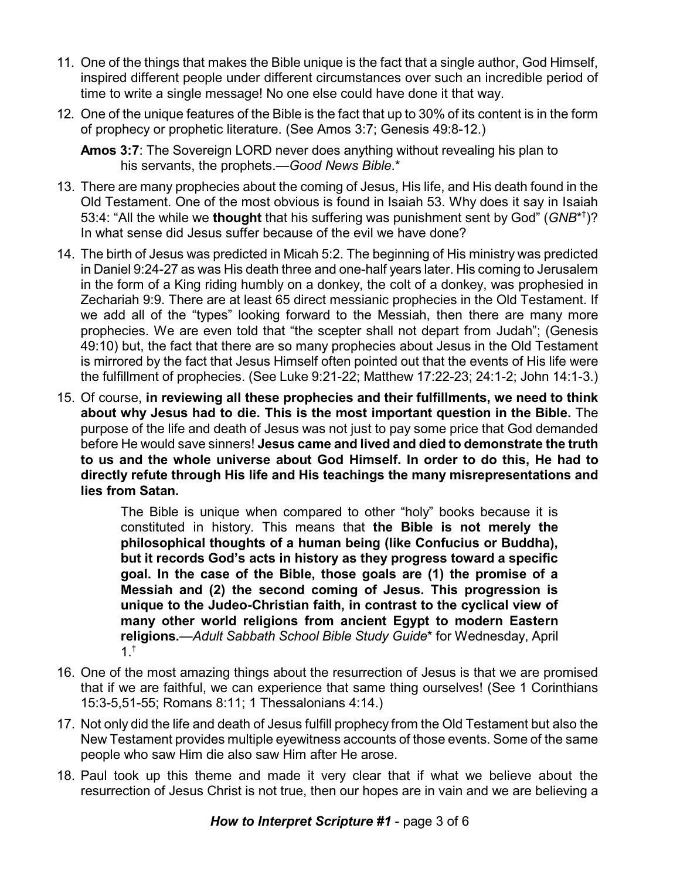- 11. One of the things that makes the Bible unique is the fact that a single author, God Himself, inspired different people under different circumstances over such an incredible period of time to write a single message! No one else could have done it that way.
- 12. One of the unique features of the Bible is the fact that up to 30% of its content is in the form of prophecy or prophetic literature. (See Amos 3:7; Genesis 49:8-12.)

**Amos 3:7**: The Sovereign LORD never does anything without revealing his plan to his servants, the prophets.—*Good News Bible*.\*

- 13. There are many prophecies about the coming of Jesus, His life, and His death found in the Old Testament. One of the most obvious is found in Isaiah 53. Why does it say in Isaiah 53:4: "All the while we **thought** that his suffering was punishment sent by God" (*GNB*\* † )? In what sense did Jesus suffer because of the evil we have done?
- 14. The birth of Jesus was predicted in Micah 5:2. The beginning of His ministry was predicted in Daniel 9:24-27 as was His death three and one-half years later. His coming to Jerusalem in the form of a King riding humbly on a donkey, the colt of a donkey, was prophesied in Zechariah 9:9. There are at least 65 direct messianic prophecies in the Old Testament. If we add all of the "types" looking forward to the Messiah, then there are many more prophecies. We are even told that "the scepter shall not depart from Judah"; (Genesis 49:10) but, the fact that there are so many prophecies about Jesus in the Old Testament is mirrored by the fact that Jesus Himself often pointed out that the events of His life were the fulfillment of prophecies. (See Luke 9:21-22; Matthew 17:22-23; 24:1-2; John 14:1-3.)
- 15. Of course, **in reviewing all these prophecies and their fulfillments, we need to think about why Jesus had to die. This is the most important question in the Bible.** The purpose of the life and death of Jesus was not just to pay some price that God demanded before He would save sinners! **Jesus came and lived and died to demonstrate the truth to us and the whole universe about God Himself. In order to do this, He had to directly refute through His life and His teachings the many misrepresentations and lies from Satan.**

The Bible is unique when compared to other "holy" books because it is constituted in history. This means that **the Bible is not merely the philosophical thoughts of a human being (like Confucius or Buddha), but it records God's acts in history as they progress toward a specific goal. In the case of the Bible, those goals are (1) the promise of a Messiah and (2) the second coming of Jesus. This progression is unique to the Judeo-Christian faith, in contrast to the cyclical view of many other world religions from ancient Egypt to modern Eastern religions.**—*Adult Sabbath School Bible Study Guide*\* for Wednesday, April  $1<sup>†</sup>$ 

- 16. One of the most amazing things about the resurrection of Jesus is that we are promised that if we are faithful, we can experience that same thing ourselves! (See 1 Corinthians 15:3-5,51-55; Romans 8:11; 1 Thessalonians 4:14.)
- 17. Not only did the life and death of Jesus fulfill prophecy from the Old Testament but also the New Testament provides multiple eyewitness accounts of those events. Some of the same people who saw Him die also saw Him after He arose.
- 18. Paul took up this theme and made it very clear that if what we believe about the resurrection of Jesus Christ is not true, then our hopes are in vain and we are believing a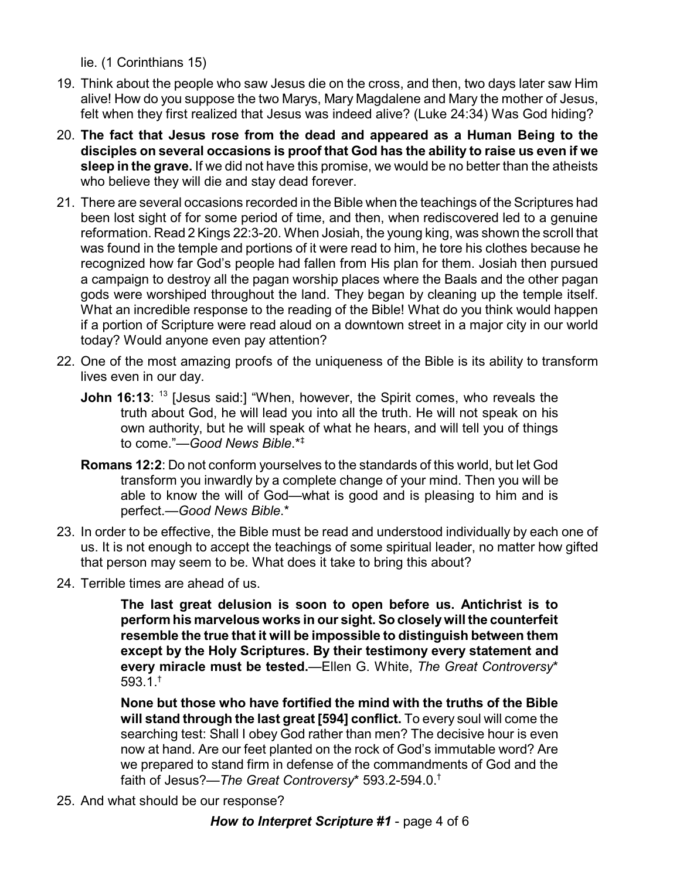lie. (1 Corinthians 15)

- 19. Think about the people who saw Jesus die on the cross, and then, two days later saw Him alive! How do you suppose the two Marys, Mary Magdalene and Mary the mother of Jesus, felt when they first realized that Jesus was indeed alive? (Luke 24:34) Was God hiding?
- 20. **The fact that Jesus rose from the dead and appeared as a Human Being to the disciples on several occasions is proof that God has the ability to raise us even if we sleep in the grave.** If we did not have this promise, we would be no better than the atheists who believe they will die and stay dead forever.
- 21. There are several occasions recorded in the Bible when the teachings of the Scriptures had been lost sight of for some period of time, and then, when rediscovered led to a genuine reformation. Read 2 Kings 22:3-20. When Josiah, the young king, was shown the scroll that was found in the temple and portions of it were read to him, he tore his clothes because he recognized how far God's people had fallen from His plan for them. Josiah then pursued a campaign to destroy all the pagan worship places where the Baals and the other pagan gods were worshiped throughout the land. They began by cleaning up the temple itself. What an incredible response to the reading of the Bible! What do you think would happen if a portion of Scripture were read aloud on a downtown street in a major city in our world today? Would anyone even pay attention?
- 22. One of the most amazing proofs of the uniqueness of the Bible is its ability to transform lives even in our day.
	- **John 16:13**: <sup>13</sup> [Jesus said:] "When, however, the Spirit comes, who reveals the truth about God, he will lead you into all the truth. He will not speak on his own authority, but he will speak of what he hears, and will tell you of things to come."—*Good News Bible*.\*‡
	- **Romans 12:2**: Do not conform yourselves to the standards of this world, but let God transform you inwardly by a complete change of your mind. Then you will be able to know the will of God—what is good and is pleasing to him and is perfect.—*Good News Bible*.\*
- 23. In order to be effective, the Bible must be read and understood individually by each one of us. It is not enough to accept the teachings of some spiritual leader, no matter how gifted that person may seem to be. What does it take to bring this about?
- 24. Terrible times are ahead of us.

**The last great delusion is soon to open before us. Antichrist is to perform his marvelous works in our sight. So closelywill the counterfeit resemble the true that it will be impossible to distinguish between them except by the Holy Scriptures. By their testimony every statement and every miracle must be tested.**—Ellen G. White, *The Great Controversy*\* 593.1. †

**None but those who have fortified the mind with the truths of the Bible will stand through the last great [594] conflict.** To every soul will come the searching test: Shall I obey God rather than men? The decisive hour is even now at hand. Are our feet planted on the rock of God's immutable word? Are we prepared to stand firm in defense of the commandments of God and the faith of Jesus?—*The Great Controversy*\* 593.2-594.0. †

25. And what should be our response?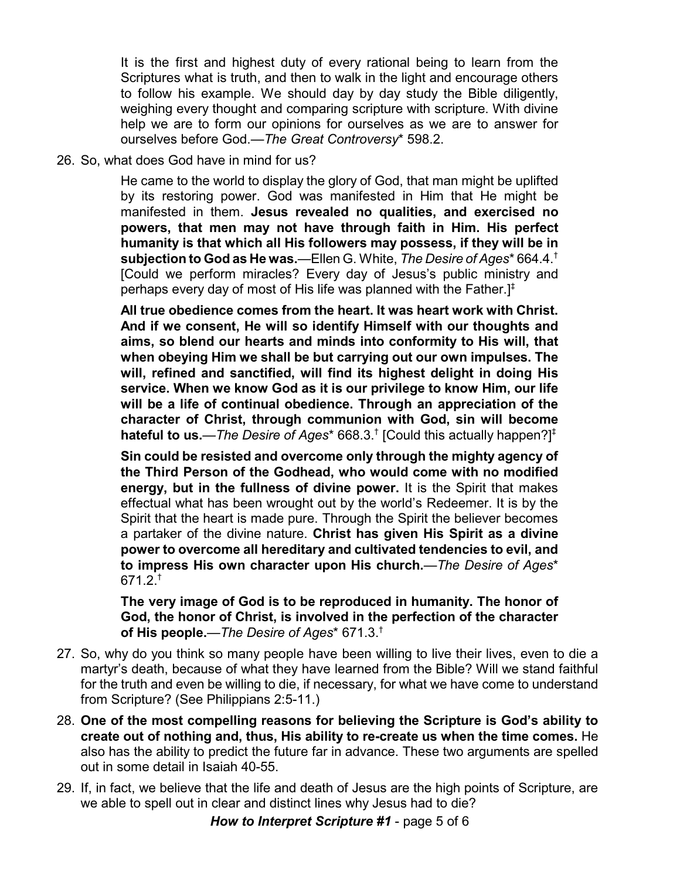It is the first and highest duty of every rational being to learn from the Scriptures what is truth, and then to walk in the light and encourage others to follow his example. We should day by day study the Bible diligently, weighing every thought and comparing scripture with scripture. With divine help we are to form our opinions for ourselves as we are to answer for ourselves before God.—*The Great Controversy*\* 598.2.

26. So, what does God have in mind for us?

He came to the world to display the glory of God, that man might be uplifted by its restoring power. God was manifested in Him that He might be manifested in them. **Jesus revealed no qualities, and exercised no powers, that men may not have through faith in Him. His perfect humanity is that which all His followers may possess, if they will be in subjection to God as He was.**—Ellen G. White, *The Desire of Ages*\* 664.4. † [Could we perform miracles? Every day of Jesus's public ministry and perhaps every day of most of His life was planned with the Father. $]$ <sup> $\ddagger$ </sup>

**All true obedience comes from the heart. It was heart work with Christ. And if we consent, He will so identify Himself with our thoughts and aims, so blend our hearts and minds into conformity to His will, that when obeying Him we shall be but carrying out our own impulses. The will, refined and sanctified, will find its highest delight in doing His service. When we know God as it is our privilege to know Him, our life will be a life of continual obedience. Through an appreciation of the character of Christ, through communion with God, sin will become hateful to us.**—*The Desire of Ages*\* 668.3. † [Could this actually happen?] ‡

**Sin could be resisted and overcome only through the mighty agency of the Third Person of the Godhead, who would come with no modified energy, but in the fullness of divine power.** It is the Spirit that makes effectual what has been wrought out by the world's Redeemer. It is by the Spirit that the heart is made pure. Through the Spirit the believer becomes a partaker of the divine nature. **Christ has given His Spirit as a divine power to overcome all hereditary and cultivated tendencies to evil, and to impress His own character upon His church.**—*The Desire of Ages*\*  $671.2.^{\dagger}$ 

**The very image of God is to be reproduced in humanity. The honor of God, the honor of Christ, is involved in the perfection of the character of His people.**—*The Desire of Ages*\* 671.3. †

- 27. So, why do you think so many people have been willing to live their lives, even to die a martyr's death, because of what they have learned from the Bible? Will we stand faithful for the truth and even be willing to die, if necessary, for what we have come to understand from Scripture? (See Philippians 2:5-11.)
- 28. **One of the most compelling reasons for believing the Scripture is God's ability to create out of nothing and, thus, His ability to re-create us when the time comes.** He also has the ability to predict the future far in advance. These two arguments are spelled out in some detail in Isaiah 40-55.
- 29. If, in fact, we believe that the life and death of Jesus are the high points of Scripture, are we able to spell out in clear and distinct lines why Jesus had to die?

*How to Interpret Scripture #1* - page 5 of 6